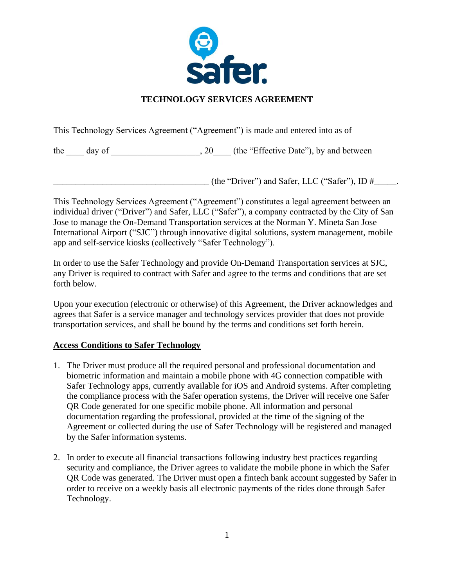

## **TECHNOLOGY SERVICES AGREEMENT**

This Technology Services Agreement ("Agreement") is made and entered into as of

the  $\_\_\_$  day of  $\_\_\_\_\_\_\_\_$ , 20 $\_\_\_\_\$  (the "Effective Date"), by and between

 $($ the "Driver") and Safer, LLC ("Safer"), ID  $\#$ 

This Technology Services Agreement ("Agreement") constitutes a legal agreement between an individual driver ("Driver") and Safer, LLC ("Safer"), a company contracted by the City of San Jose to manage the On-Demand Transportation services at the Norman Y. Mineta San Jose International Airport ("SJC") through innovative digital solutions, system management, mobile app and self-service kiosks (collectively "Safer Technology").

In order to use the Safer Technology and provide On-Demand Transportation services at SJC, any Driver is required to contract with Safer and agree to the terms and conditions that are set forth below.

Upon your execution (electronic or otherwise) of this Agreement, the Driver acknowledges and agrees that Safer is a service manager and technology services provider that does not provide transportation services, and shall be bound by the terms and conditions set forth herein.

## **Access Conditions to Safer Technology**

- 1. The Driver must produce all the required personal and professional documentation and biometric information and maintain a mobile phone with 4G connection compatible with Safer Technology apps, currently available for iOS and Android systems. After completing the compliance process with the Safer operation systems, the Driver will receive one Safer QR Code generated for one specific mobile phone. All information and personal documentation regarding the professional, provided at the time of the signing of the Agreement or collected during the use of Safer Technology will be registered and managed by the Safer information systems.
- 2. In order to execute all financial transactions following industry best practices regarding security and compliance, the Driver agrees to validate the mobile phone in which the Safer QR Code was generated. The Driver must open a fintech bank account suggested by Safer in order to receive on a weekly basis all electronic payments of the rides done through Safer Technology.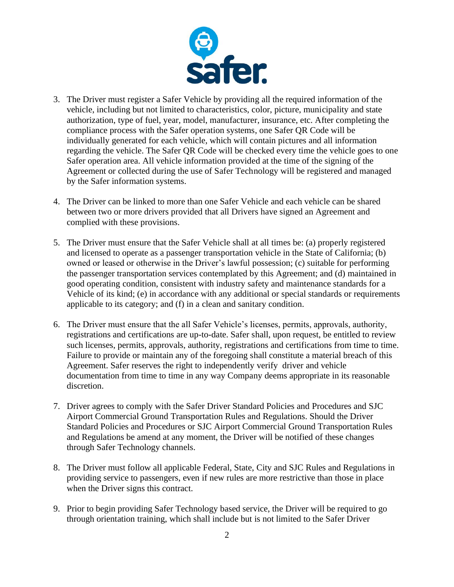

- 3. The Driver must register a Safer Vehicle by providing all the required information of the vehicle, including but not limited to characteristics, color, picture, municipality and state authorization, type of fuel, year, model, manufacturer, insurance, etc. After completing the compliance process with the Safer operation systems, one Safer QR Code will be individually generated for each vehicle, which will contain pictures and all information regarding the vehicle. The Safer QR Code will be checked every time the vehicle goes to one Safer operation area. All vehicle information provided at the time of the signing of the Agreement or collected during the use of Safer Technology will be registered and managed by the Safer information systems.
- 4. The Driver can be linked to more than one Safer Vehicle and each vehicle can be shared between two or more drivers provided that all Drivers have signed an Agreement and complied with these provisions.
- 5. The Driver must ensure that the Safer Vehicle shall at all times be: (a) properly registered and licensed to operate as a passenger transportation vehicle in the State of California; (b) owned or leased or otherwise in the Driver's lawful possession; (c) suitable for performing the passenger transportation services contemplated by this Agreement; and (d) maintained in good operating condition, consistent with industry safety and maintenance standards for a Vehicle of its kind; (e) in accordance with any additional or special standards or requirements applicable to its category; and (f) in a clean and sanitary condition.
- 6. The Driver must ensure that the all Safer Vehicle's licenses, permits, approvals, authority, registrations and certifications are up-to-date. Safer shall, upon request, be entitled to review such licenses, permits, approvals, authority, registrations and certifications from time to time. Failure to provide or maintain any of the foregoing shall constitute a material breach of this Agreement. Safer reserves the right to independently verify driver and vehicle documentation from time to time in any way Company deems appropriate in its reasonable discretion.
- 7. Driver agrees to comply with the Safer Driver Standard Policies and Procedures and SJC Airport Commercial Ground Transportation Rules and Regulations. Should the Driver Standard Policies and Procedures or SJC Airport Commercial Ground Transportation Rules and Regulations be amend at any moment, the Driver will be notified of these changes through Safer Technology channels.
- 8. The Driver must follow all applicable Federal, State, City and SJC Rules and Regulations in providing service to passengers, even if new rules are more restrictive than those in place when the Driver signs this contract.
- 9. Prior to begin providing Safer Technology based service, the Driver will be required to go through orientation training, which shall include but is not limited to the Safer Driver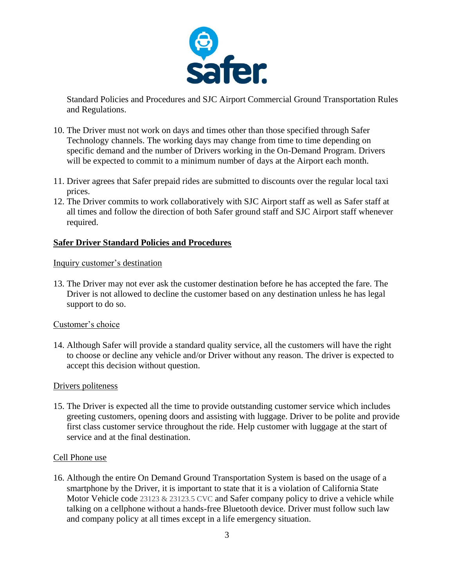

Standard Policies and Procedures and SJC Airport Commercial Ground Transportation Rules and Regulations.

- 10. The Driver must not work on days and times other than those specified through Safer Technology channels. The working days may change from time to time depending on specific demand and the number of Drivers working in the On-Demand Program. Drivers will be expected to commit to a minimum number of days at the Airport each month.
- 11. Driver agrees that Safer prepaid rides are submitted to discounts over the regular local taxi prices.
- 12. The Driver commits to work collaboratively with SJC Airport staff as well as Safer staff at all times and follow the direction of both Safer ground staff and SJC Airport staff whenever required.

### **Safer Driver Standard Policies and Procedures**

### Inquiry customer's destination

13. The Driver may not ever ask the customer destination before he has accepted the fare. The Driver is not allowed to decline the customer based on any destination unless he has legal support to do so.

### Customer's choice

14. Although Safer will provide a standard quality service, all the customers will have the right to choose or decline any vehicle and/or Driver without any reason. The driver is expected to accept this decision without question.

### Drivers politeness

15. The Driver is expected all the time to provide outstanding customer service which includes greeting customers, opening doors and assisting with luggage. Driver to be polite and provide first class customer service throughout the ride. Help customer with luggage at the start of service and at the final destination.

### Cell Phone use

16. Although the entire On Demand Ground Transportation System is based on the usage of a smartphone by the Driver, it is important to state that it is a violation of California State Motor Vehicle code 23123 & 23123.5 CVC and Safer company policy to drive a vehicle while talking on a cellphone without a hands-free Bluetooth device. Driver must follow such law and company policy at all times except in a life emergency situation.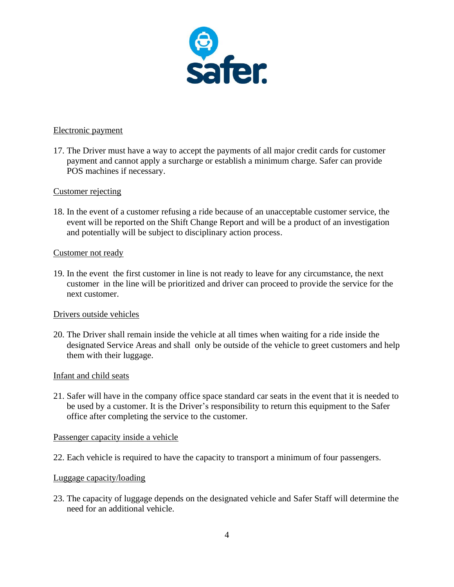

#### Electronic payment

17. The Driver must have a way to accept the payments of all major credit cards for customer payment and cannot apply a surcharge or establish a minimum charge. Safer can provide POS machines if necessary.

#### Customer rejecting

18. In the event of a customer refusing a ride because of an unacceptable customer service, the event will be reported on the Shift Change Report and will be a product of an investigation and potentially will be subject to disciplinary action process.

#### Customer not ready

19. In the event the first customer in line is not ready to leave for any circumstance, the next customer in the line will be prioritized and driver can proceed to provide the service for the next customer.

### Drivers outside vehicles

20. The Driver shall remain inside the vehicle at all times when waiting for a ride inside the designated Service Areas and shall only be outside of the vehicle to greet customers and help them with their luggage.

#### Infant and child seats

21. Safer will have in the company office space standard car seats in the event that it is needed to be used by a customer. It is the Driver's responsibility to return this equipment to the Safer office after completing the service to the customer.

#### Passenger capacity inside a vehicle

22. Each vehicle is required to have the capacity to transport a minimum of four passengers.

#### Luggage capacity/loading

23. The capacity of luggage depends on the designated vehicle and Safer Staff will determine the need for an additional vehicle.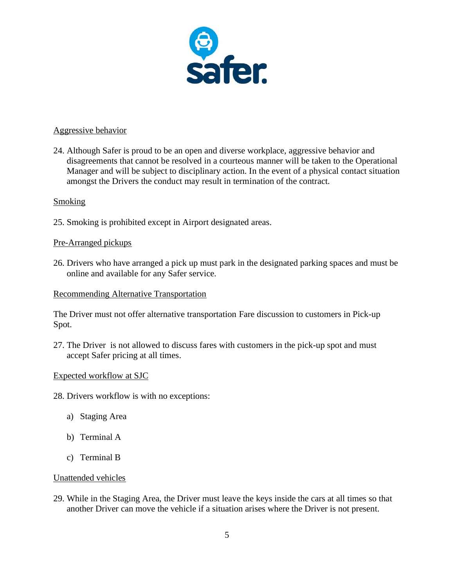

#### Aggressive behavior

24. Although Safer is proud to be an open and diverse workplace, aggressive behavior and disagreements that cannot be resolved in a courteous manner will be taken to the Operational Manager and will be subject to disciplinary action. In the event of a physical contact situation amongst the Drivers the conduct may result in termination of the contract.

#### **Smoking**

25. Smoking is prohibited except in Airport designated areas.

### Pre-Arranged pickups

26. Drivers who have arranged a pick up must park in the designated parking spaces and must be online and available for any Safer service.

#### Recommending Alternative Transportation

The Driver must not offer alternative transportation Fare discussion to customers in Pick-up Spot.

27. The Driver is not allowed to discuss fares with customers in the pick-up spot and must accept Safer pricing at all times.

### Expected workflow at SJC

28. Drivers workflow is with no exceptions:

- a) Staging Area
- b) Terminal A
- c) Terminal B

#### Unattended vehicles

29. While in the Staging Area, the Driver must leave the keys inside the cars at all times so that another Driver can move the vehicle if a situation arises where the Driver is not present.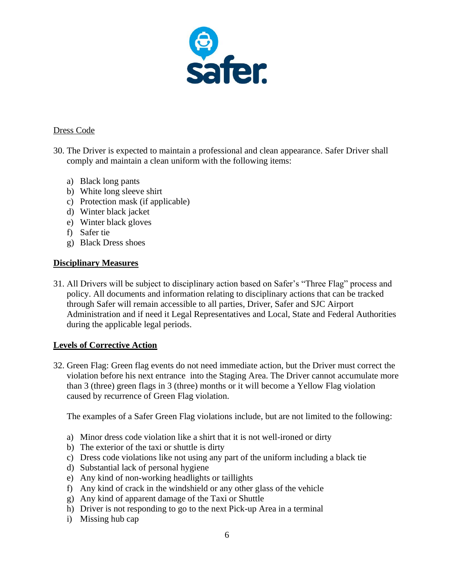

### Dress Code

- 30. The Driver is expected to maintain a professional and clean appearance. Safer Driver shall comply and maintain a clean uniform with the following items:
	- a) Black long pants
	- b) White long sleeve shirt
	- c) Protection mask (if applicable)
	- d) Winter black jacket
	- e) Winter black gloves
	- f) Safer tie
	- g) Black Dress shoes

### **Disciplinary Measures**

31. All Drivers will be subject to disciplinary action based on Safer's "Three Flag" process and policy. All documents and information relating to disciplinary actions that can be tracked through Safer will remain accessible to all parties, Driver, Safer and SJC Airport Administration and if need it Legal Representatives and Local, State and Federal Authorities during the applicable legal periods.

### **Levels of Corrective Action**

32. Green Flag: Green flag events do not need immediate action, but the Driver must correct the violation before his next entrance into the Staging Area. The Driver cannot accumulate more than 3 (three) green flags in 3 (three) months or it will become a Yellow Flag violation caused by recurrence of Green Flag violation.

The examples of a Safer Green Flag violations include, but are not limited to the following:

- a) Minor dress code violation like a shirt that it is not well-ironed or dirty
- b) The exterior of the taxi or shuttle is dirty
- c) Dress code violations like not using any part of the uniform including a black tie
- d) Substantial lack of personal hygiene
- e) Any kind of non-working headlights or taillights
- f) Any kind of crack in the windshield or any other glass of the vehicle
- g) Any kind of apparent damage of the Taxi or Shuttle
- h) Driver is not responding to go to the next Pick-up Area in a terminal
- i) Missing hub cap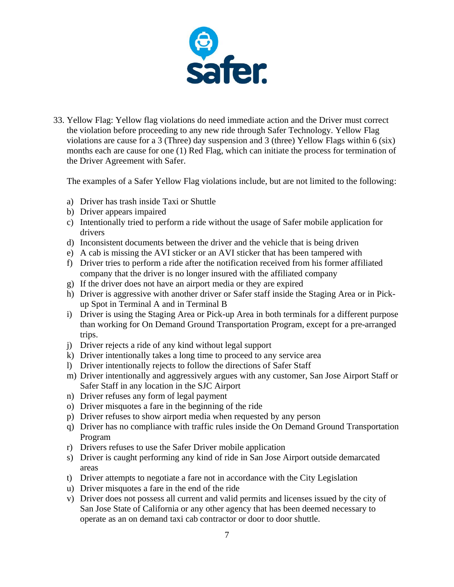

33. Yellow Flag: Yellow flag violations do need immediate action and the Driver must correct the violation before proceeding to any new ride through Safer Technology. Yellow Flag violations are cause for a 3 (Three) day suspension and 3 (three) Yellow Flags within 6 (six) months each are cause for one (1) Red Flag, which can initiate the process for termination of the Driver Agreement with Safer.

The examples of a Safer Yellow Flag violations include, but are not limited to the following:

- a) Driver has trash inside Taxi or Shuttle
- b) Driver appears impaired
- c) Intentionally tried to perform a ride without the usage of Safer mobile application for drivers
- d) Inconsistent documents between the driver and the vehicle that is being driven
- e) A cab is missing the AVI sticker or an AVI sticker that has been tampered with
- f) Driver tries to perform a ride after the notification received from his former affiliated company that the driver is no longer insured with the affiliated company
- g) If the driver does not have an airport media or they are expired
- h) Driver is aggressive with another driver or Safer staff inside the Staging Area or in Pickup Spot in Terminal A and in Terminal B
- i) Driver is using the Staging Area or Pick-up Area in both terminals for a different purpose than working for On Demand Ground Transportation Program, except for a pre-arranged trips.
- j) Driver rejects a ride of any kind without legal support
- k) Driver intentionally takes a long time to proceed to any service area
- l) Driver intentionally rejects to follow the directions of Safer Staff
- m) Driver intentionally and aggressively argues with any customer, San Jose Airport Staff or Safer Staff in any location in the SJC Airport
- n) Driver refuses any form of legal payment
- o) Driver misquotes a fare in the beginning of the ride
- p) Driver refuses to show airport media when requested by any person
- q) Driver has no compliance with traffic rules inside the On Demand Ground Transportation Program
- r) Drivers refuses to use the Safer Driver mobile application
- s) Driver is caught performing any kind of ride in San Jose Airport outside demarcated areas
- t) Driver attempts to negotiate a fare not in accordance with the City Legislation
- u) Driver misquotes a fare in the end of the ride
- v) Driver does not possess all current and valid permits and licenses issued by the city of San Jose State of California or any other agency that has been deemed necessary to operate as an on demand taxi cab contractor or door to door shuttle.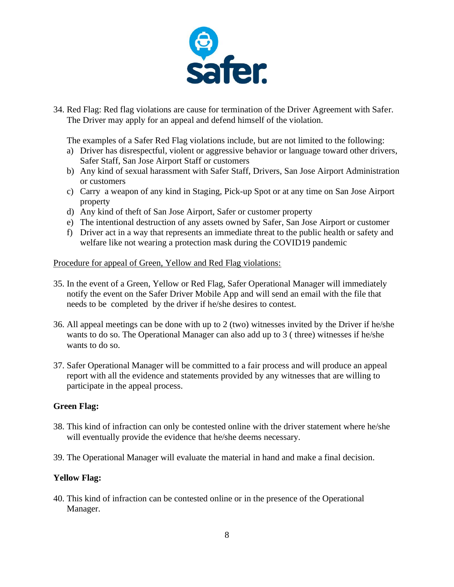

34. Red Flag: Red flag violations are cause for termination of the Driver Agreement with Safer. The Driver may apply for an appeal and defend himself of the violation.

The examples of a Safer Red Flag violations include, but are not limited to the following:

- a) Driver has disrespectful, violent or aggressive behavior or language toward other drivers, Safer Staff, San Jose Airport Staff or customers
- b) Any kind of sexual harassment with Safer Staff, Drivers, San Jose Airport Administration or customers
- c) Carry a weapon of any kind in Staging, Pick-up Spot or at any time on San Jose Airport property
- d) Any kind of theft of San Jose Airport, Safer or customer property
- e) The intentional destruction of any assets owned by Safer, San Jose Airport or customer
- f) Driver act in a way that represents an immediate threat to the public health or safety and welfare like not wearing a protection mask during the COVID19 pandemic

#### Procedure for appeal of Green, Yellow and Red Flag violations:

- 35. In the event of a Green, Yellow or Red Flag, Safer Operational Manager will immediately notify the event on the Safer Driver Mobile App and will send an email with the file that needs to be completed by the driver if he/she desires to contest.
- 36. All appeal meetings can be done with up to 2 (two) witnesses invited by the Driver if he/she wants to do so. The Operational Manager can also add up to 3 ( three) witnesses if he/she wants to do so.
- 37. Safer Operational Manager will be committed to a fair process and will produce an appeal report with all the evidence and statements provided by any witnesses that are willing to participate in the appeal process.

### **Green Flag:**

- 38. This kind of infraction can only be contested online with the driver statement where he/she will eventually provide the evidence that he/she deems necessary.
- 39. The Operational Manager will evaluate the material in hand and make a final decision.

### **Yellow Flag:**

40. This kind of infraction can be contested online or in the presence of the Operational Manager.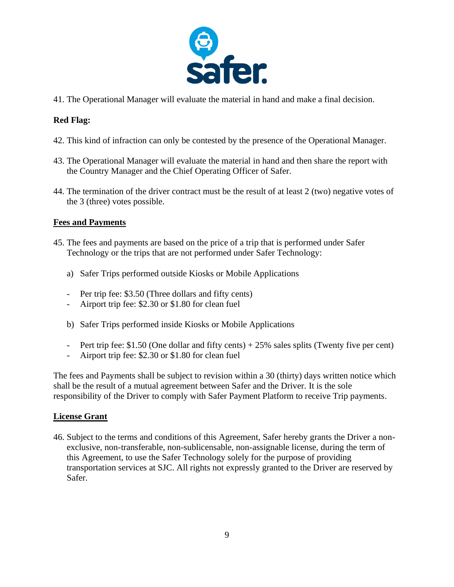

41. The Operational Manager will evaluate the material in hand and make a final decision.

## **Red Flag:**

- 42. This kind of infraction can only be contested by the presence of the Operational Manager.
- 43. The Operational Manager will evaluate the material in hand and then share the report with the Country Manager and the Chief Operating Officer of Safer.
- 44. The termination of the driver contract must be the result of at least 2 (two) negative votes of the 3 (three) votes possible.

## **Fees and Payments**

- 45. The fees and payments are based on the price of a trip that is performed under Safer Technology or the trips that are not performed under Safer Technology:
	- a) Safer Trips performed outside Kiosks or Mobile Applications
	- Per trip fee: \$3.50 (Three dollars and fifty cents)
	- Airport trip fee: \$2.30 or \$1.80 for clean fuel
	- b) Safer Trips performed inside Kiosks or Mobile Applications
	- Pert trip fee: \$1.50 (One dollar and fifty cents) + 25% sales splits (Twenty five per cent)
	- Airport trip fee: \$2.30 or \$1.80 for clean fuel

The fees and Payments shall be subject to revision within a 30 (thirty) days written notice which shall be the result of a mutual agreement between Safer and the Driver. It is the sole responsibility of the Driver to comply with Safer Payment Platform to receive Trip payments.

### **License Grant**

46. Subject to the terms and conditions of this Agreement, Safer hereby grants the Driver a nonexclusive, non-transferable, non-sublicensable, non-assignable license, during the term of this Agreement, to use the Safer Technology solely for the purpose of providing transportation services at SJC. All rights not expressly granted to the Driver are reserved by Safer.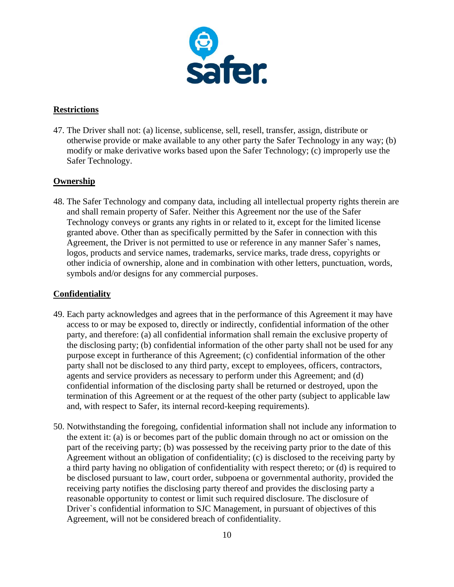

## **Restrictions**

47. The Driver shall not: (a) license, sublicense, sell, resell, transfer, assign, distribute or otherwise provide or make available to any other party the Safer Technology in any way; (b) modify or make derivative works based upon the Safer Technology; (c) improperly use the Safer Technology.

## **Ownership**

48. The Safer Technology and company data, including all intellectual property rights therein are and shall remain property of Safer. Neither this Agreement nor the use of the Safer Technology conveys or grants any rights in or related to it, except for the limited license granted above. Other than as specifically permitted by the Safer in connection with this Agreement, the Driver is not permitted to use or reference in any manner Safer`s names, logos, products and service names, trademarks, service marks, trade dress, copyrights or other indicia of ownership, alone and in combination with other letters, punctuation, words, symbols and/or designs for any commercial purposes.

## **Confidentiality**

- 49. Each party acknowledges and agrees that in the performance of this Agreement it may have access to or may be exposed to, directly or indirectly, confidential information of the other party, and therefore: (a) all confidential information shall remain the exclusive property of the disclosing party; (b) confidential information of the other party shall not be used for any purpose except in furtherance of this Agreement; (c) confidential information of the other party shall not be disclosed to any third party, except to employees, officers, contractors, agents and service providers as necessary to perform under this Agreement; and (d) confidential information of the disclosing party shall be returned or destroyed, upon the termination of this Agreement or at the request of the other party (subject to applicable law and, with respect to Safer, its internal record-keeping requirements).
- 50. Notwithstanding the foregoing, confidential information shall not include any information to the extent it: (a) is or becomes part of the public domain through no act or omission on the part of the receiving party; (b) was possessed by the receiving party prior to the date of this Agreement without an obligation of confidentiality; (c) is disclosed to the receiving party by a third party having no obligation of confidentiality with respect thereto; or (d) is required to be disclosed pursuant to law, court order, subpoena or governmental authority, provided the receiving party notifies the disclosing party thereof and provides the disclosing party a reasonable opportunity to contest or limit such required disclosure. The disclosure of Driver`s confidential information to SJC Management, in pursuant of objectives of this Agreement, will not be considered breach of confidentiality.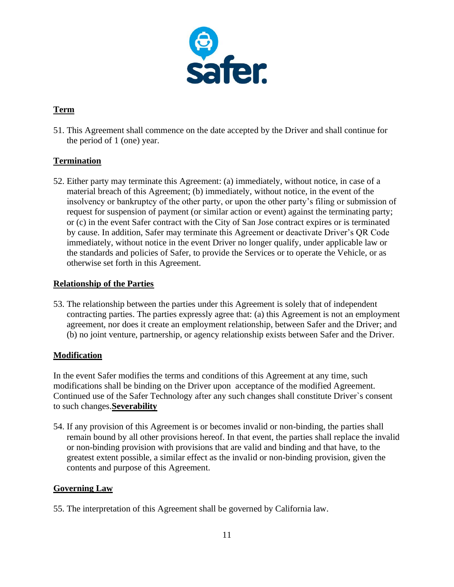

# **Term**

51. This Agreement shall commence on the date accepted by the Driver and shall continue for the period of 1 (one) year.

# **Termination**

52. Either party may terminate this Agreement: (a) immediately, without notice, in case of a material breach of this Agreement; (b) immediately, without notice, in the event of the insolvency or bankruptcy of the other party, or upon the other party's filing or submission of request for suspension of payment (or similar action or event) against the terminating party; or (c) in the event Safer contract with the City of San Jose contract expires or is terminated by cause. In addition, Safer may terminate this Agreement or deactivate Driver's QR Code immediately, without notice in the event Driver no longer qualify, under applicable law or the standards and policies of Safer, to provide the Services or to operate the Vehicle, or as otherwise set forth in this Agreement.

## **Relationship of the Parties**

53. The relationship between the parties under this Agreement is solely that of independent contracting parties. The parties expressly agree that: (a) this Agreement is not an employment agreement, nor does it create an employment relationship, between Safer and the Driver; and (b) no joint venture, partnership, or agency relationship exists between Safer and the Driver.

## **Modification**

In the event Safer modifies the terms and conditions of this Agreement at any time, such modifications shall be binding on the Driver upon acceptance of the modified Agreement. Continued use of the Safer Technology after any such changes shall constitute Driver`s consent to such changes.**Severability**

54. If any provision of this Agreement is or becomes invalid or non-binding, the parties shall remain bound by all other provisions hereof. In that event, the parties shall replace the invalid or non-binding provision with provisions that are valid and binding and that have, to the greatest extent possible, a similar effect as the invalid or non-binding provision, given the contents and purpose of this Agreement.

## **Governing Law**

55. The interpretation of this Agreement shall be governed by California law.